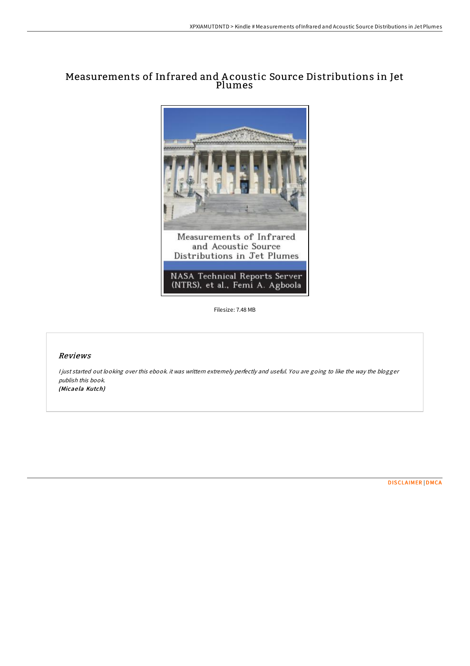# Measurements of Infrared and A coustic Source Distributions in Jet Plumes



Filesize: 7.48 MB

# Reviews

<sup>I</sup> just started out looking over this ebook. it was writtern extremely perfectly and useful. You are going to like the way the blogger publish this book. (Micae la Kutch)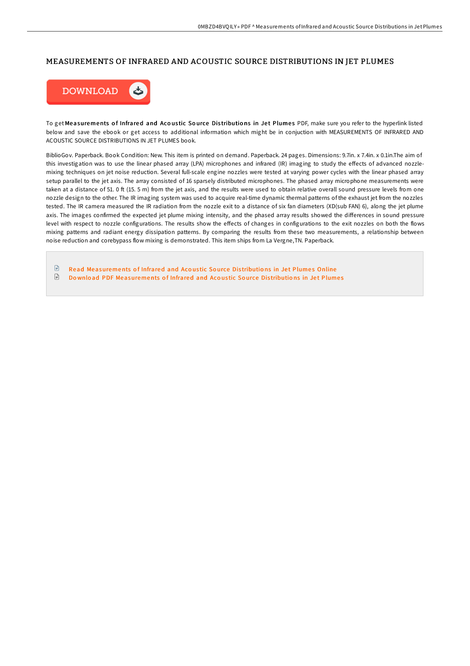## MEASUREMENTS OF INFRARED AND ACOUSTIC SOURCE DISTRIBUTIONS IN JET PLUMES



To get Measurements of Infrared and Acoustic Source Distributions in Jet Plumes PDF, make sure you refer to the hyperlink listed below and save the ebook or get access to additional information which might be in conjuction with MEASUREMENTS OF INFRARED AND ACOUSTIC SOURCE DISTRIBUTIONS IN JET PLUMES book.

BiblioGov. Paperback. Book Condition: New. This item is printed on demand. Paperback. 24 pages. Dimensions: 9.7in. x 7.4in. x 0.1in.The aim of this investigation was to use the linear phased array (LPA) microphones and infrared (IR) imaging to study the effects of advanced nozzlemixing techniques on jet noise reduction. Several full-scale engine nozzles were tested at varying power cycles with the linear phased array setup parallel to the jet axis. The array consisted of 16 sparsely distributed microphones. The phased array microphone measurements were taken at a distance of 51. 0 ft (15. 5 m) from the jet axis, and the results were used to obtain relative overall sound pressure levels from one nozzle design to the other. The IR imaging system was used to acquire real-time dynamic thermal patterns of the exhaust jet from the nozzles tested. The IR camera measured the IR radiation from the nozzle exit to a distance of six fan diameters (XD(sub FAN) 6), along the jet plume axis. The images confirmed the expected jet plume mixing intensity, and the phased array results showed the differences in sound pressure level with respect to nozzle configurations. The results show the effects of changes in configurations to the exit nozzles on both the flows mixing patterns and radiant energy dissipation patterns. By comparing the results from these two measurements, a relationship between noise reduction and corebypass flow mixing is demonstrated. This item ships from La Vergne,TN. Paperback.

 $\mathbb{R}$ Read [Measurements](http://almighty24.tech/measurements-of-infrared-and-acoustic-source-dis.html) of Infrared and Acoustic Source Distributions in Jet Plumes Online € Do wnload PDF [Measurements](http://almighty24.tech/measurements-of-infrared-and-acoustic-source-dis.html) of Infrared and Acoustic Source Distributions in Jet Plumes